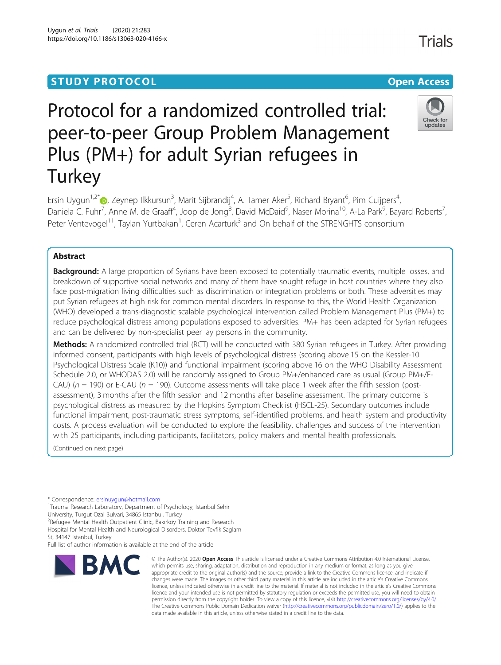# **STUDY PROTOCOL CONSUMING THE CONSUMING OPEN ACCESS**

# Protocol for a randomized controlled trial: peer-to-peer Group Problem Management Plus (PM+) for adult Syrian refugees in **Turkey**

Ersin Uygun<sup>1[,](http://orcid.org/0000-0003-3268-119X)2\*</sup>®, Zeynep Ilkkursun<sup>3</sup>, Marit Sijbrandij<sup>4</sup>, A. Tamer Aker<sup>5</sup>, Richard Bryant<sup>6</sup>, Pim Cuijpers<sup>4</sup> , Daniela C. Fuhr<sup>7</sup>, Anne M. de Graaff<sup>4</sup>, Joop de Jong<sup>8</sup>, David McDaid<sup>9</sup>, Naser Morina<sup>10</sup>, A-La Park<sup>9</sup>, Bayard Roberts<sup>7</sup> , Peter Ventevogel<sup>11</sup>, Taylan Yurtbakan<sup>1</sup>, Ceren Acarturk<sup>3</sup> and On behalf of the STRENGHTS consortium

# Abstract

Background: A large proportion of Syrians have been exposed to potentially traumatic events, multiple losses, and breakdown of supportive social networks and many of them have sought refuge in host countries where they also face post-migration living difficulties such as discrimination or integration problems or both. These adversities may put Syrian refugees at high risk for common mental disorders. In response to this, the World Health Organization (WHO) developed a trans-diagnostic scalable psychological intervention called Problem Management Plus (PM+) to reduce psychological distress among populations exposed to adversities. PM+ has been adapted for Syrian refugees and can be delivered by non-specialist peer lay persons in the community.

Methods: A randomized controlled trial (RCT) will be conducted with 380 Syrian refugees in Turkey. After providing informed consent, participants with high levels of psychological distress (scoring above 15 on the Kessler-10 Psychological Distress Scale (K10)) and functional impairment (scoring above 16 on the WHO Disability Assessment Schedule 2.0, or WHODAS 2.0) will be randomly assigned to Group PM+/enhanced care as usual (Group PM+/E-CAU) ( $n = 190$ ) or E-CAU ( $n = 190$ ). Outcome assessments will take place 1 week after the fifth session (postassessment), 3 months after the fifth session and 12 months after baseline assessment. The primary outcome is psychological distress as measured by the Hopkins Symptom Checklist (HSCL-25). Secondary outcomes include functional impairment, post-traumatic stress symptoms, self-identified problems, and health system and productivity costs. A process evaluation will be conducted to explore the feasibility, challenges and success of the intervention with 25 participants, including participants, facilitators, policy makers and mental health professionals.

(Continued on next page)

\* Correspondence: [ersinuygun@hotmail.com](mailto:ersinuygun@hotmail.com) <sup>1</sup>

<sup>1</sup>Trauma Research Laboratory, Department of Psychology, Istanbul Sehir University, Turgut Ozal Bulvari, 34865 Istanbul, Turkey

<sup>2</sup>Refugee Mental Health Outpatient Clinic, Bakırköy Training and Research

Hospital for Mental Health and Neurological Disorders, Doktor Tevfik Saglam St, 34147 Istanbul, Turkey

Full list of author information is available at the end of the article



<sup>©</sup> The Author(s), 2020 **Open Access** This article is licensed under a Creative Commons Attribution 4.0 International License, which permits use, sharing, adaptation, distribution and reproduction in any medium or format, as long as you give appropriate credit to the original author(s) and the source, provide a link to the Creative Commons licence, and indicate if changes were made. The images or other third party material in this article are included in the article's Creative Commons licence, unless indicated otherwise in a credit line to the material. If material is not included in the article's Creative Commons licence and your intended use is not permitted by statutory regulation or exceeds the permitted use, you will need to obtain permission directly from the copyright holder. To view a copy of this licence, visit [http://creativecommons.org/licenses/by/4.0/.](http://creativecommons.org/licenses/by/4.0/) The Creative Commons Public Domain Dedication waiver [\(http://creativecommons.org/publicdomain/zero/1.0/](http://creativecommons.org/publicdomain/zero/1.0/)) applies to the data made available in this article, unless otherwise stated in a credit line to the data.



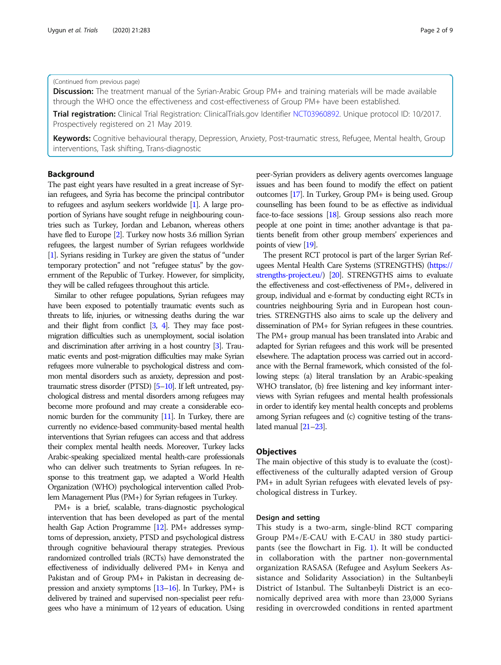#### (Continued from previous page)

**Discussion:** The treatment manual of the Syrian-Arabic Group PM+ and training materials will be made available through the WHO once the effectiveness and cost-effectiveness of Group PM+ have been established.

Trial registration: Clinical Trial Registration: ClinicalTrials.gov Identifier [NCT03960892.](https://clinicaltrials.gov/ct2/show/NCT03960892) Unique protocol ID: 10/2017. Prospectively registered on 21 May 2019.

Keywords: Cognitive behavioural therapy, Depression, Anxiety, Post-traumatic stress, Refugee, Mental health, Group interventions, Task shifting, Trans-diagnostic

# Background

The past eight years have resulted in a great increase of Syrian refugees, and Syria has become the principal contributor to refugees and asylum seekers worldwide [[1](#page-7-0)]. A large proportion of Syrians have sought refuge in neighbouring countries such as Turkey, Jordan and Lebanon, whereas others have fled to Europe [\[2](#page-7-0)]. Turkey now hosts 3.6 million Syrian refugees, the largest number of Syrian refugees worldwide [[1](#page-7-0)]. Syrians residing in Turkey are given the status of "under temporary protection" and not "refugee status" by the government of the Republic of Turkey. However, for simplicity, they will be called refugees throughout this article.

Similar to other refugee populations, Syrian refugees may have been exposed to potentially traumatic events such as threats to life, injuries, or witnessing deaths during the war and their flight from conflict [\[3](#page-7-0), [4\]](#page-7-0). They may face postmigration difficulties such as unemployment, social isolation and discrimination after arriving in a host country [\[3\]](#page-7-0). Traumatic events and post-migration difficulties may make Syrian refugees more vulnerable to psychological distress and common mental disorders such as anxiety, depression and posttraumatic stress disorder (PTSD) [[5](#page-7-0)–[10\]](#page-7-0). If left untreated, psychological distress and mental disorders among refugees may become more profound and may create a considerable economic burden for the community [\[11](#page-7-0)]. In Turkey, there are currently no evidence-based community-based mental health interventions that Syrian refugees can access and that address their complex mental health needs. Moreover, Turkey lacks Arabic-speaking specialized mental health-care professionals who can deliver such treatments to Syrian refugees. In response to this treatment gap, we adapted a World Health Organization (WHO) psychological intervention called Problem Management Plus (PM+) for Syrian refugees in Turkey.

PM+ is a brief, scalable, trans-diagnostic psychological intervention that has been developed as part of the mental health Gap Action Programme [\[12\]](#page-7-0). PM+ addresses symptoms of depression, anxiety, PTSD and psychological distress through cognitive behavioural therapy strategies. Previous randomized controlled trials (RCTs) have demonstrated the effectiveness of individually delivered PM+ in Kenya and Pakistan and of Group PM+ in Pakistan in decreasing depression and anxiety symptoms [\[13](#page-7-0)–[16](#page-7-0)]. In Turkey, PM+ is delivered by trained and supervised non-specialist peer refugees who have a minimum of 12 years of education. Using peer-Syrian providers as delivery agents overcomes language issues and has been found to modify the effect on patient outcomes [[17\]](#page-7-0). In Turkey, Group PM+ is being used. Group counselling has been found to be as effective as individual face-to-face sessions [\[18](#page-7-0)]. Group sessions also reach more people at one point in time; another advantage is that patients benefit from other group members' experiences and points of view [[19\]](#page-7-0).

The present RCT protocol is part of the larger Syrian Refugees Mental Health Care Systems (STRENGTHS) ([https://](https://strengths-project.eu/en/strengths-home/) [strengths-project.eu/\)](https://strengths-project.eu/en/strengths-home/) [\[20](#page-7-0)]. STRENGTHS aims to evaluate the effectiveness and cost-effectiveness of PM+, delivered in group, individual and e-format by conducting eight RCTs in countries neighbouring Syria and in European host countries. STRENGTHS also aims to scale up the delivery and dissemination of PM+ for Syrian refugees in these countries. The PM+ group manual has been translated into Arabic and adapted for Syrian refugees and this work will be presented elsewhere. The adaptation process was carried out in accordance with the Bernal framework, which consisted of the following steps: (a) literal translation by an Arabic-speaking WHO translator, (b) free listening and key informant interviews with Syrian refugees and mental health professionals in order to identify key mental health concepts and problems among Syrian refugees and (c) cognitive testing of the translated manual [[21](#page-7-0)–[23\]](#page-7-0).

#### **Objectives**

The main objective of this study is to evaluate the (cost) effectiveness of the culturally adapted version of Group PM+ in adult Syrian refugees with elevated levels of psychological distress in Turkey.

# Design and setting

This study is a two-arm, single-blind RCT comparing Group PM+/E-CAU with E-CAU in 380 study participants (see the flowchart in Fig. [1\)](#page-2-0). It will be conducted in collaboration with the partner non-governmental organization RASASA (Refugee and Asylum Seekers Assistance and Solidarity Association) in the Sultanbeyli District of Istanbul. The Sultanbeyli District is an economically deprived area with more than 23,000 Syrians residing in overcrowded conditions in rented apartment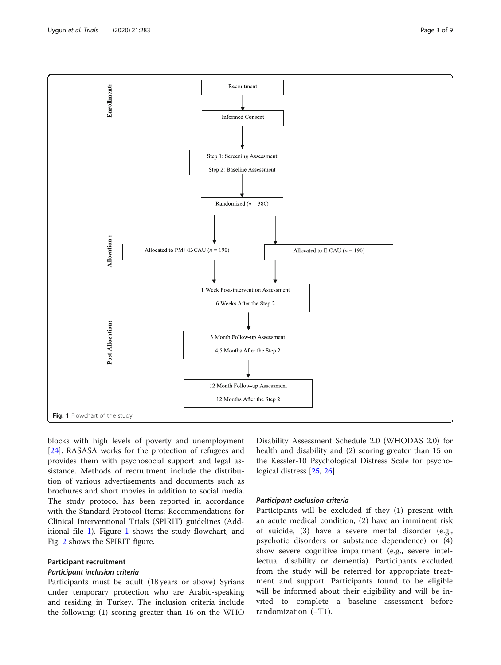blocks with high levels of poverty and unemployment [[24\]](#page-8-0). RASASA works for the protection of refugees and provides them with psychosocial support and legal assistance. Methods of recruitment include the distribution of various advertisements and documents such as brochures and short movies in addition to social media. The study protocol has been reported in accordance with the Standard Protocol Items: Recommendations for Clinical Interventional Trials (SPIRIT) guidelines (Additional file [1\)](#page-6-0). Figure 1 shows the study flowchart, and Fig. [2](#page-3-0) shows the SPIRIT figure.

#### Participant recruitment

# Participant inclusion criteria

Participants must be adult (18 years or above) Syrians under temporary protection who are Arabic-speaking and residing in Turkey. The inclusion criteria include the following: (1) scoring greater than 16 on the WHO

Disability Assessment Schedule 2.0 (WHODAS 2.0) for health and disability and (2) scoring greater than 15 on the Kessler-10 Psychological Distress Scale for psychological distress [\[25](#page-8-0), [26](#page-8-0)].

# Participant exclusion criteria

Participants will be excluded if they (1) present with an acute medical condition, (2) have an imminent risk of suicide, (3) have a severe mental disorder (e.g., psychotic disorders or substance dependence) or (4) show severe cognitive impairment (e.g., severe intellectual disability or dementia). Participants excluded from the study will be referred for appropriate treatment and support. Participants found to be eligible will be informed about their eligibility and will be invited to complete a baseline assessment before randomization (−T1).

<span id="page-2-0"></span>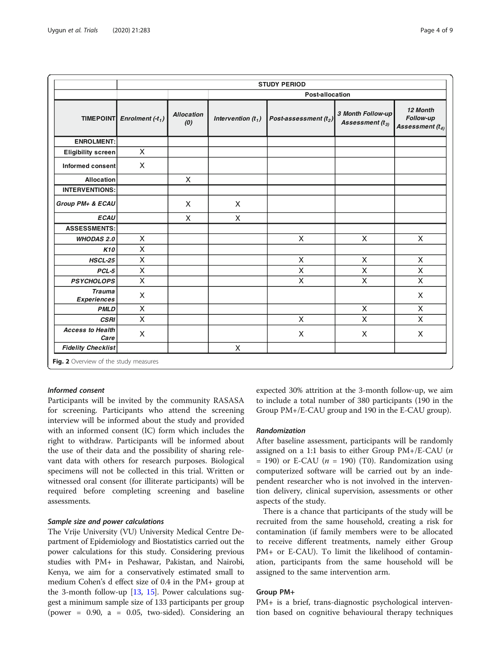<span id="page-3-0"></span>

|                                     | <b>STUDY PERIOD</b>                        |                          |                      |                        |                                           |                                             |
|-------------------------------------|--------------------------------------------|--------------------------|----------------------|------------------------|-------------------------------------------|---------------------------------------------|
|                                     |                                            | Post-allocation          |                      |                        |                                           |                                             |
|                                     | <b>TIMEPOINT</b> <i>Enrolment</i> $(-t_1)$ | <b>Allocation</b><br>(0) | Intervention $(t_1)$ | Post-assessment $(t2)$ | 3 Month Follow-up<br>Assessment $(t_{3)}$ | 12 Month<br>Follow-up<br>Assessment $(t_4)$ |
| <b>ENROLMENT:</b>                   |                                            |                          |                      |                        |                                           |                                             |
| <b>Eligibility screen</b>           | X                                          |                          |                      |                        |                                           |                                             |
| Informed consent                    | X                                          |                          |                      |                        |                                           |                                             |
| <b>Allocation</b>                   |                                            | X                        |                      |                        |                                           |                                             |
| <b>INTERVENTIONS:</b>               |                                            |                          |                      |                        |                                           |                                             |
| Group PM+ & ECAU                    |                                            | X                        | X                    |                        |                                           |                                             |
| <b>ECAU</b>                         |                                            | X                        | X                    |                        |                                           |                                             |
| <b>ASSESSMENTS:</b>                 |                                            |                          |                      |                        |                                           |                                             |
| <b>WHODAS 2.0</b>                   | X                                          |                          |                      | X                      | X                                         | X                                           |
| K10                                 | X                                          |                          |                      |                        |                                           |                                             |
| HSCL-25                             | X                                          |                          |                      | X                      | X                                         | X                                           |
| PCL-5                               | $\mathsf{X}$                               |                          |                      | $\mathsf{X}$           | $\mathsf{X}$                              | X                                           |
| <b>PSYCHOLOPS</b>                   | X                                          |                          |                      | X                      | X                                         | X                                           |
| <b>Trauma</b><br><b>Experiences</b> | X                                          |                          |                      |                        |                                           | X                                           |
| <b>PMLD</b>                         | X                                          |                          |                      |                        | X                                         | X                                           |
| <b>CSRI</b>                         | X                                          |                          |                      | X                      | X                                         | X                                           |
| <b>Access to Health</b><br>Care     | X                                          |                          |                      | X                      | X                                         | X                                           |
| <b>Fidelity Checklist</b>           |                                            |                          | X                    |                        |                                           |                                             |

# Informed consent

Participants will be invited by the community RASASA for screening. Participants who attend the screening interview will be informed about the study and provided with an informed consent (IC) form which includes the right to withdraw. Participants will be informed about the use of their data and the possibility of sharing relevant data with others for research purposes. Biological specimens will not be collected in this trial. Written or witnessed oral consent (for illiterate participants) will be required before completing screening and baseline assessments.

# Sample size and power calculations

The Vrije University (VU) University Medical Centre Department of Epidemiology and Biostatistics carried out the power calculations for this study. Considering previous studies with PM+ in Peshawar, Pakistan, and Nairobi, Kenya, we aim for a conservatively estimated small to medium Cohen's d effect size of 0.4 in the PM+ group at the 3-month follow-up [\[13,](#page-7-0) [15\]](#page-7-0). Power calculations suggest a minimum sample size of 133 participants per group (power = 0.90, a = 0.05, two-sided). Considering an expected 30% attrition at the 3-month follow-up, we aim to include a total number of 380 participants (190 in the Group PM+/E-CAU group and 190 in the E-CAU group).

# Randomization

After baseline assessment, participants will be randomly assigned on a 1:1 basis to either Group  $PM + /E-CAU$  (n  $= 190$ ) or E-CAU ( $n = 190$ ) (T0). Randomization using computerized software will be carried out by an independent researcher who is not involved in the intervention delivery, clinical supervision, assessments or other aspects of the study.

There is a chance that participants of the study will be recruited from the same household, creating a risk for contamination (if family members were to be allocated to receive different treatments, namely either Group PM+ or E-CAU). To limit the likelihood of contamination, participants from the same household will be assigned to the same intervention arm.

# Group PM+

PM+ is a brief, trans-diagnostic psychological intervention based on cognitive behavioural therapy techniques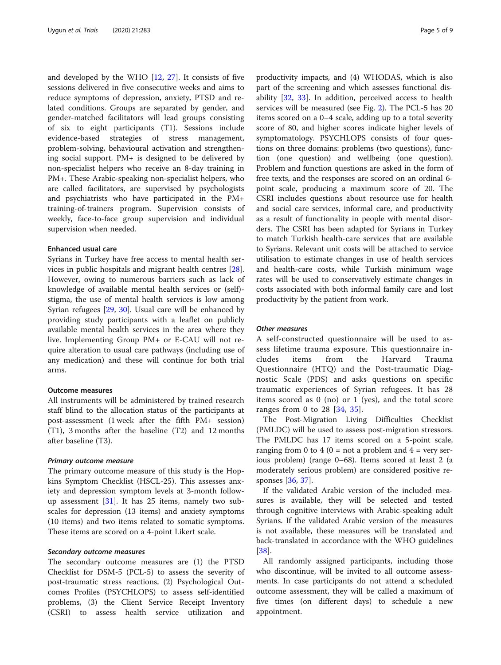and developed by the WHO [\[12,](#page-7-0) [27\]](#page-8-0). It consists of five sessions delivered in five consecutive weeks and aims to reduce symptoms of depression, anxiety, PTSD and related conditions. Groups are separated by gender, and gender-matched facilitators will lead groups consisting of six to eight participants (T1). Sessions include evidence-based strategies of stress management, problem-solving, behavioural activation and strengthening social support. PM+ is designed to be delivered by non-specialist helpers who receive an 8-day training in PM+. These Arabic-speaking non-specialist helpers, who are called facilitators, are supervised by psychologists and psychiatrists who have participated in the PM+ training-of-trainers program. Supervision consists of weekly, face-to-face group supervision and individual supervision when needed.

# Enhanced usual care

Syrians in Turkey have free access to mental health services in public hospitals and migrant health centres [\[28](#page-8-0)]. However, owing to numerous barriers such as lack of knowledge of available mental health services or (self) stigma, the use of mental health services is low among Syrian refugees [[29,](#page-8-0) [30](#page-8-0)]. Usual care will be enhanced by providing study participants with a leaflet on publicly available mental health services in the area where they live. Implementing Group PM+ or E-CAU will not require alteration to usual care pathways (including use of any medication) and these will continue for both trial arms.

# Outcome measures

All instruments will be administered by trained research staff blind to the allocation status of the participants at post-assessment (1 week after the fifth PM+ session) (T1), 3 months after the baseline (T2) and 12 months after baseline (T3).

#### Primary outcome measure

The primary outcome measure of this study is the Hopkins Symptom Checklist (HSCL-25). This assesses anxiety and depression symptom levels at 3-month followup assessment [\[31\]](#page-8-0). It has 25 items, namely two subscales for depression (13 items) and anxiety symptoms (10 items) and two items related to somatic symptoms. These items are scored on a 4-point Likert scale.

#### Secondary outcome measures

The secondary outcome measures are (1) the PTSD Checklist for DSM-5 (PCL-5) to assess the severity of post-traumatic stress reactions, (2) Psychological Outcomes Profiles (PSYCHLOPS) to assess self-identified problems, (3) the Client Service Receipt Inventory (CSRI) to assess health service utilization and

productivity impacts, and (4) WHODAS, which is also part of the screening and which assesses functional disability [\[32](#page-8-0), [33\]](#page-8-0). In addition, perceived access to health services will be measured (see Fig. [2](#page-3-0)). The PCL-5 has 20 items scored on a 0–4 scale, adding up to a total severity score of 80, and higher scores indicate higher levels of symptomatology. PSYCHLOPS consists of four questions on three domains: problems (two questions), function (one question) and wellbeing (one question). Problem and function questions are asked in the form of free texts, and the responses are scored on an ordinal 6 point scale, producing a maximum score of 20. The CSRI includes questions about resource use for health and social care services, informal care, and productivity as a result of functionality in people with mental disorders. The CSRI has been adapted for Syrians in Turkey to match Turkish health-care services that are available to Syrians. Relevant unit costs will be attached to service utilisation to estimate changes in use of health services and health-care costs, while Turkish minimum wage rates will be used to conservatively estimate changes in costs associated with both informal family care and lost productivity by the patient from work.

# Other measures

A self-constructed questionnaire will be used to assess lifetime trauma exposure. This questionnaire includes items from the Harvard Trauma Questionnaire (HTQ) and the Post-traumatic Diagnostic Scale (PDS) and asks questions on specific traumatic experiences of Syrian refugees. It has 28 items scored as 0 (no) or 1 (yes), and the total score ranges from 0 to 28 [[34,](#page-8-0) [35](#page-8-0)].

The Post-Migration Living Difficulties Checklist (PMLDC) will be used to assess post-migration stressors. The PMLDC has 17 items scored on a 5-point scale, ranging from 0 to 4 (0 = not a problem and  $4$  = very serious problem) (range 0–68). Items scored at least 2 (a moderately serious problem) are considered positive responses [\[36](#page-8-0), [37](#page-8-0)].

If the validated Arabic version of the included measures is available, they will be selected and tested through cognitive interviews with Arabic-speaking adult Syrians. If the validated Arabic version of the measures is not available, these measures will be translated and back-translated in accordance with the WHO guidelines [[38\]](#page-8-0).

All randomly assigned participants, including those who discontinue, will be invited to all outcome assessments. In case participants do not attend a scheduled outcome assessment, they will be called a maximum of five times (on different days) to schedule a new appointment.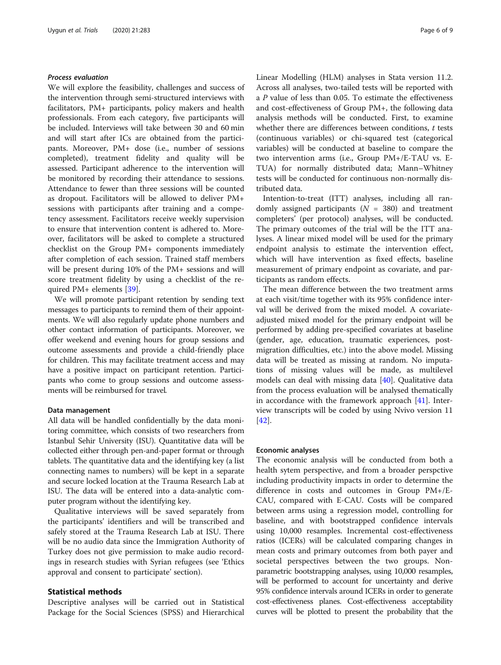# Process evaluation

We will explore the feasibility, challenges and success of the intervention through semi-structured interviews with facilitators, PM+ participants, policy makers and health professionals. From each category, five participants will be included. Interviews will take between 30 and 60 min and will start after ICs are obtained from the participants. Moreover, PM+ dose (i.e., number of sessions completed), treatment fidelity and quality will be assessed. Participant adherence to the intervention will be monitored by recording their attendance to sessions. Attendance to fewer than three sessions will be counted as dropout. Facilitators will be allowed to deliver PM+ sessions with participants after training and a competency assessment. Facilitators receive weekly supervision to ensure that intervention content is adhered to. Moreover, facilitators will be asked to complete a structured checklist on the Group PM+ components immediately after completion of each session. Trained staff members will be present during 10% of the PM+ sessions and will score treatment fidelity by using a checklist of the required PM+ elements [[39\]](#page-8-0).

We will promote participant retention by sending text messages to participants to remind them of their appointments. We will also regularly update phone numbers and other contact information of participants. Moreover, we offer weekend and evening hours for group sessions and outcome assessments and provide a child-friendly place for children. This may facilitate treatment access and may have a positive impact on participant retention. Participants who come to group sessions and outcome assessments will be reimbursed for travel.

# Data management

All data will be handled confidentially by the data monitoring committee, which consists of two researchers from Istanbul Sehir University (ISU). Quantitative data will be collected either through pen-and-paper format or through tablets. The quantitative data and the identifying key (a list connecting names to numbers) will be kept in a separate and secure locked location at the Trauma Research Lab at ISU. The data will be entered into a data-analytic computer program without the identifying key.

Qualitative interviews will be saved separately from the participants' identifiers and will be transcribed and safely stored at the Trauma Research Lab at ISU. There will be no audio data since the Immigration Authority of Turkey does not give permission to make audio recordings in research studies with Syrian refugees (see 'Ethics approval and consent to participate' section).

# Statistical methods

Descriptive analyses will be carried out in Statistical Package for the Social Sciences (SPSS) and Hierarchical Linear Modelling (HLM) analyses in Stata version 11.2. Across all analyses, two-tailed tests will be reported with a P value of less than 0.05. To estimate the effectiveness and cost-effectiveness of Group PM+, the following data analysis methods will be conducted. First, to examine whether there are differences between conditions, t tests (continuous variables) or chi-squared test (categorical variables) will be conducted at baseline to compare the two intervention arms (i.e., Group PM+/E-TAU vs. E-TUA) for normally distributed data; Mann–Whitney tests will be conducted for continuous non-normally distributed data.

Intention-to-treat (ITT) analyses, including all randomly assigned participants  $(N = 380)$  and treatment completers' (per protocol) analyses, will be conducted. The primary outcomes of the trial will be the ITT analyses. A linear mixed model will be used for the primary endpoint analysis to estimate the intervention effect, which will have intervention as fixed effects, baseline measurement of primary endpoint as covariate, and participants as random effects.

The mean difference between the two treatment arms at each visit/time together with its 95% confidence interval will be derived from the mixed model. A covariateadjusted mixed model for the primary endpoint will be performed by adding pre-specified covariates at baseline (gender, age, education, traumatic experiences, postmigration difficulties, etc.) into the above model. Missing data will be treated as missing at random. No imputations of missing values will be made, as multilevel models can deal with missing data [[40](#page-8-0)]. Qualitative data from the process evaluation will be analysed thematically in accordance with the framework approach [\[41](#page-8-0)]. Interview transcripts will be coded by using Nvivo version 11 [[42\]](#page-8-0).

#### Economic analyses

The economic analysis will be conducted from both a health sytem perspective, and from a broader perspctive including productivity impacts in order to determine the difference in costs and outcomes in Group PM+/E-CAU, compared with E-CAU. Costs will be compared between arms using a regression model, controlling for baseline, and with bootstrapped confidence intervals using 10,000 resamples. Incremental cost-effectiveness ratios (ICERs) will be calculated comparing changes in mean costs and primary outcomes from both payer and societal perspectives between the two groups. Nonparametric bootstrapping analyses, using 10,000 resamples, will be performed to account for uncertainty and derive 95% confidence intervals around ICERs in order to generate cost-effectiveness planes. Cost-effectiveness acceptability curves will be plotted to present the probability that the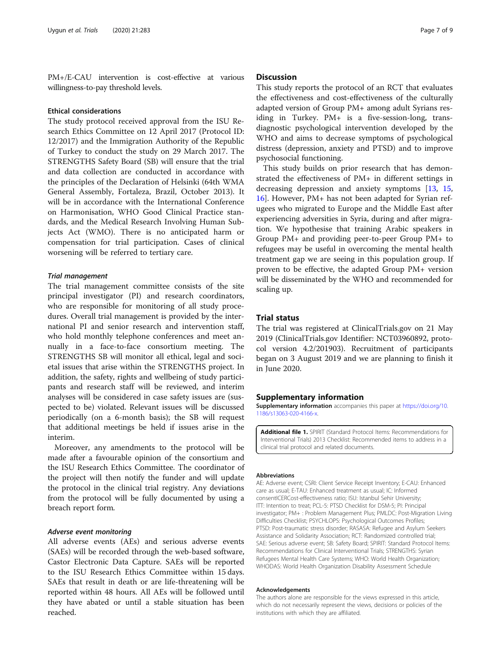<span id="page-6-0"></span>PM+/E-CAU intervention is cost-effective at various willingness-to-pay threshold levels.

# Ethical considerations

The study protocol received approval from the ISU Research Ethics Committee on 12 April 2017 (Protocol ID: 12/2017) and the Immigration Authority of the Republic of Turkey to conduct the study on 29 March 2017. The STRENGTHS Safety Board (SB) will ensure that the trial and data collection are conducted in accordance with the principles of the Declaration of Helsinki (64th WMA General Assembly, Fortaleza, Brazil, October 2013). It will be in accordance with the International Conference on Harmonisation, WHO Good Clinical Practice standards, and the Medical Research Involving Human Subjects Act (WMO). There is no anticipated harm or compensation for trial participation. Cases of clinical worsening will be referred to tertiary care.

#### Trial management

The trial management committee consists of the site principal investigator (PI) and research coordinators, who are responsible for monitoring of all study procedures. Overall trial management is provided by the international PI and senior research and intervention staff, who hold monthly telephone conferences and meet annually in a face-to-face consortium meeting. The STRENGTHS SB will monitor all ethical, legal and societal issues that arise within the STRENGTHS project. In addition, the safety, rights and wellbeing of study participants and research staff will be reviewed, and interim analyses will be considered in case safety issues are (suspected to be) violated. Relevant issues will be discussed periodically (on a 6-month basis); the SB will request that additional meetings be held if issues arise in the interim.

Moreover, any amendments to the protocol will be made after a favourable opinion of the consortium and the ISU Research Ethics Committee. The coordinator of the project will then notify the funder and will update the protocol in the clinical trial registry. Any deviations from the protocol will be fully documented by using a breach report form.

#### Adverse event monitoring

All adverse events (AEs) and serious adverse events (SAEs) will be recorded through the web-based software, Castor Electronic Data Capture. SAEs will be reported to the ISU Research Ethics Committee within 15 days. SAEs that result in death or are life-threatening will be reported within 48 hours. All AEs will be followed until they have abated or until a stable situation has been reached.

# **Discussion**

This study reports the protocol of an RCT that evaluates the effectiveness and cost-effectiveness of the culturally adapted version of Group PM+ among adult Syrians residing in Turkey. PM+ is a five-session-long, transdiagnostic psychological intervention developed by the WHO and aims to decrease symptoms of psychological distress (depression, anxiety and PTSD) and to improve psychosocial functioning.

This study builds on prior research that has demonstrated the effectiveness of PM+ in different settings in decreasing depression and anxiety symptoms [[13,](#page-7-0) [15](#page-7-0), [16\]](#page-7-0). However, PM+ has not been adapted for Syrian refugees who migrated to Europe and the Middle East after experiencing adversities in Syria, during and after migration. We hypothesise that training Arabic speakers in Group PM+ and providing peer-to-peer Group PM+ to refugees may be useful in overcoming the mental health treatment gap we are seeing in this population group. If proven to be effective, the adapted Group PM+ version will be disseminated by the WHO and recommended for scaling up.

# Trial status

The trial was registered at ClinicalTrials.gov on 21 May 2019 (ClinicalTrials.gov Identifier: NCT03960892, protocol version 4.2/201903). Recruitment of participants began on 3 August 2019 and we are planning to finish it in June 2020.

# Supplementary information

Supplementary information accompanies this paper at [https://doi.org/10.](https://doi.org/10.1186/s13063-020-4166-x) [1186/s13063-020-4166-x](https://doi.org/10.1186/s13063-020-4166-x).

Additional file 1. SPIRIT (Standard Protocol Items: Recommendations for Interventional Trials) 2013 Checklist: Recommended items to address in a clinical trial protocol and related documents.

#### Abbreviations

AE: Adverse event; CSRI: Client Service Receipt Inventory; E-CAU: Enhanced care as usual; E-TAU: Enhanced treatment as usual; IC: Informed consentICERCost-effectiveness ratio; ISU: Istanbul Sehir University; ITT: Intention to treat; PCL-5: PTSD Checklist for DSM-5; PI: Principal investigator; PM+ : Problem Management Plus; PMLDC: Post-Migration Living Difficulties Checklist; PSYCHLOPS: Psychological Outcomes Profiles; PTSD: Post-traumatic stress disorder; RASASA: Refugee and Asylum Seekers Assistance and Solidarity Association; RCT: Randomized controlled trial; SAE: Serious adverse event; SB: Safety Board; SPIRIT: Standard Protocol Items: Recommendations for Clinical Interventional Trials; STRENGTHS: Syrian Refugees Mental Health Care Systems; WHO: World Health Organization; WHODAS: World Health Organization Disability Assessment Schedule

#### Acknowledgements

The authors alone are responsible for the views expressed in this article, which do not necessarily represent the views, decisions or policies of the institutions with which they are affiliated.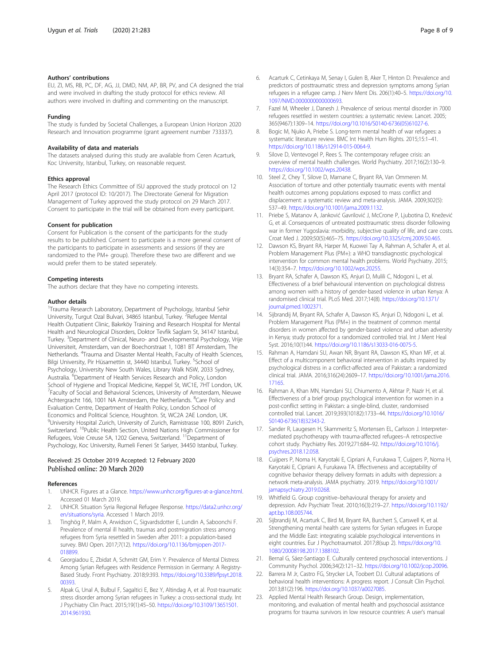#### <span id="page-7-0"></span>Authors' contributions

EU, ZI, MS, RB, PC, DF, AG, JJ, DMD, NM, AP, BR, PV, and CA designed the trial and were involved in drafting the study protocol for ethics review. All authors were involved in drafting and commenting on the manuscript.

#### Funding

The study is funded by Societal Challenges, a European Union Horizon 2020 Research and Innovation programme (grant agreement number 733337).

#### Availability of data and materials

The datasets analysed during this study are available from Ceren Acarturk, Koc University, Istanbul, Turkey, on reasonable request.

#### Ethics approval

The Research Ethics Committee of ISU approved the study protocol on 12 April 2017 (protocol ID: 10/2017). The Directorate General for Migration Management of Turkey approved the study protocol on 29 March 2017. Consent to participate in the trial will be obtained from every participant.

#### Consent for publication

Consent for Publication is the consent of the participants for the study results to be published. Consent to participate is a more general consent of the participants to participate in assessments and sessions (if they are randomized to the PM+ group). Therefore these two are different and we would prefer them to be stated seperately.

# Competing interests

The authors declare that they have no competing interests.

#### Author details

<sup>1</sup>Trauma Research Laboratory, Department of Psychology, Istanbul Sehir University, Turgut Ozal Bulvari, 34865 Istanbul, Turkey. <sup>2</sup>Refugee Mental Health Outpatient Clinic, Bakırköy Training and Research Hospital for Mental Health and Neurological Disorders, Doktor Tevfik Saglam St, 34147 Istanbul, Turkey. <sup>3</sup>Department of Clinical, Neuro- and Developmental Psychology, Vrije Universiteit, Amsterdam, van der Boechorstraat 1, 1081 BT Amsterdam, The Netherlands. <sup>4</sup>Trauma and Disaster Mental Health, Faculty of Health Sciences, Bilgi University, Pir Hüsamettin st, 34440 Istanbul, Turkey. <sup>5</sup>School of Psychology, University New South Wales, Library Walk NSW, 2033 Sydney, Australia. <sup>6</sup>Department of Health Services Research and Policy, London School of Hygiene and Tropical Medicine, Keppel St, WC1E, 7HT London, UK. 7 Faculty of Social and Behavioral Sciences, University of Amsterdam, Nieuwe Achtergracht 166, 1001 NA Amsterdam, the Netherlands. <sup>8</sup>Care Policy and Evaluation Centre, Department of Health Policy, London School of Economics and Political Science, Houghton. St, WC2A 2AE London, UK. 9 University Hospital Zurich, University of Zurich, Ramistrasse 100, 8091 Zurich, Switzerland. <sup>10</sup>Public Health Section, United Nations High Commissioner for Refugees, Voie Creuse 5A, 1202 Geneva, Switzerland. <sup>11</sup>Department of Psychology, Koc University, Rumeli Feneri St Sariyer, 34450 Istanbul, Turkey.

#### Received: 25 October 2019 Accepted: 12 February 2020 Published online: 20 March 2020

#### References

- UNHCR. Figures at a Glance. <https://www.unhcr.org/figures-at-a-glance.html>. Accessed 01 March 2019.
- 2. UNHCR. Situation Syria Regional Refugee Response. [https://data2.unhcr.org/](https://data2.unhcr.org/en/situations/syria) [en/situations/syria](https://data2.unhcr.org/en/situations/syria). Accessed 1 March 2019.
- 3. Tinghög P, Malm A, Arwidson C, Sigvardsdotter E, Lundin A, Saboonchi F. Prevalence of mental ill health, traumas and postmigration stress among refugees from Syria resettled in Sweden after 2011: a population-based survey. BMJ Open. 2017;7(12). [https://doi.org/10.1136/bmjopen-2017-](https://doi.org/10.1136/bmjopen-2017-018899) [018899](https://doi.org/10.1136/bmjopen-2017-018899).
- 4. Georgiadou E, Zbidat A, Schmitt GM, Erim Y. Prevalence of Mental Distress Among Syrian Refugees with Residence Permission in Germany: A Registry-Based Study. Front Psychiatry. 2018;9:393. [https://doi.org/10.3389/fpsyt.2018.](https://doi.org/10.3389/fpsyt.2018.00393) [00393.](https://doi.org/10.3389/fpsyt.2018.00393)
- 5. Alpak G, Unal A, Bulbul F, Sagaltici E, Bez Y, Altindag A, et al. Post-traumatic stress disorder among Syrian refugees in Turkey: a cross-sectional study. Int J Psychiatry Clin Pract. 2015;19(1):45–50. [https://doi.org/10.3109/13651501.](https://doi.org/10.3109/13651501.2014.961930) [2014.961930.](https://doi.org/10.3109/13651501.2014.961930)
- 6. Acarturk C, Cetinkaya M, Senay I, Gulen B, Aker T, Hinton D. Prevalence and predictors of posttraumatic stress and depression symptoms among Syrian refugees in a refugee camp. J Nerv Ment Dis. 206(1):40–5. [https://doi.org/10.](https://doi.org/10.1097/NMD.0000000000000693) [1097/NMD.0000000000000693](https://doi.org/10.1097/NMD.0000000000000693).
- 7. Fazel M, Wheeler J, Danesh J. Prevalence of serious mental disorder in 7000 refugees resettled in western countries: a systematic review. Lancet. 2005; 365(9467):1309–14. [https://doi.org/10.1016/S0140-6736\(05\)61027-6.](https://doi.org/10.1016/S0140-6736(05)61027-6)
- 8. Bogic M, Njuko A, Priebe S. Long-term mental health of war refugees: a systematic literature review. BMC Int Health Hum Rights. 2015;15:1–41. <https://doi.org/10.1186/s12914-015-0064-9>.
- Silove D, Ventevogel P, Rees S. The contemporary refugee crisis: an overview of mental health challenges. World Psychiatry. 2017;16(2):130–9. [https://doi.org/10.1002/wps.20438.](https://doi.org/10.1002/wps.20438)
- 10. Steel Z, Chey T, Silove D, Marnane C, Bryant RA, Van Ommeren M. Association of torture and other potentially traumatic events with mental health outcomes among populations exposed to mass conflict and displacement: a systematic review and meta-analysis. JAMA. 2009;302(5): 537–49. <https://doi.org/10.1001/jama.2009.1132>.
- 11. Priebe S, Matanov A, Janković Gavrilović J, McCrone P, Ljubotina D, Knežević G, et al. Consequences of untreated posttraumatic stress disorder following war in former Yugoslavia: morbidity, subjective quality of life, and care costs. Croat Med J. 2009;50(5):465–75. [https://doi.org/10.3325/cmj.2009.50.465.](https://doi.org/10.3325/cmj.2009.50.465)
- 12. Dawson KS, Bryant RA, Harper M, Kuowei Tay A, Rahman A, Schafer A, et al. Problem Management Plus (PM+): a WHO transdiagnostic psychological intervention for common mental health problems. World Psychiatry. 2015; 14(3):354–7. <https://doi.org/10.1002/wps.20255>.
- 13. Bryant RA, Schafer A, Dawson KS, Anjuri D, Mulili C, Ndogoni L, et al. Effectiveness of a brief behavioural intervention on psychological distress among women with a history of gender-based violence in urban Kenya: A randomised clinical trial. PLoS Med. 2017;14(8). [https://doi.org/10.1371/](https://doi.org/10.1371/journal.pmed.1002371) [journal.pmed.1002371](https://doi.org/10.1371/journal.pmed.1002371).
- 14. Sijbrandij M, Bryant RA, Schafer A, Dawson KS, Anjuri D, Ndogoni L, et al. Problem Management Plus (PM+) in the treatment of common mental disorders in women affected by gender-based violence and urban adversity in Kenya; study protocol for a randomized controlled trial. Int J Ment Heal Syst. 2016;10(1):44. https://doi.org/10.1186/s13033-016-0075-!
- 15. Rahman A, Hamdani SU, Awan NR, Bryant RA, Dawson KS, Khan MF, et al. Effect of a multicomponent behavioral intervention in adults impaired by psychological distress in a conflict-affected area of Pakistan: a randomized clinical trial. JAMA. 2016;316(24):2609–17. [https://doi.org/10.1001/jama.2016.](https://doi.org/10.1001/jama.2016.17165) [17165.](https://doi.org/10.1001/jama.2016.17165)
- 16. Rahman A, Khan MN, Hamdani SU, Chiumento A, Akhtar P, Nazir H, et al. Effectiveness of a brief group psychological intervention for women in a post-conflict setting in Pakistan: a single-blind, cluster, randomised controlled trial. Lancet. 2019;393(10182):1733–44. [https://doi.org/10.1016/](https://doi.org/10.1016/S0140-6736(18)32343-2) [S0140-6736\(18\)32343-2](https://doi.org/10.1016/S0140-6736(18)32343-2).
- 17. Sander R, Laugesen H, Skammeritz S, Mortensen EL, Carlsson J. Interpretermediated psychotherapy with trauma-affected refugees–A retrospective cohort study. Psychiatry Res. 2019;271:684–92. [https://doi.org/10.1016/j.](https://doi.org/10.1016/j.psychres.2018.12.058) [psychres.2018.12.058.](https://doi.org/10.1016/j.psychres.2018.12.058)
- 18. Cuijpers P, Noma H, Karyotaki E, Cipriani A, Furukawa T, Cuijpers P, Noma H, Karyotaki E, Cipriani A, Furukawa TA. Effectiveness and acceptability of cognitive behavior therapy delivery formats in adults with depression: a network meta-analysis. JAMA psychiatry. 2019. [https://doi.org/10.1001/](https://doi.org/10.1001/jamapsychiatry.2019.0268) [jamapsychiatry.2019.0268.](https://doi.org/10.1001/jamapsychiatry.2019.0268)
- 19. Whitfield G. Group cognitive–behavioural therapy for anxiety and depression. Adv Psychiatr Treat. 2010;16(3):219–27. [https://doi.org/10.1192/](https://doi.org/10.1192/apt.bp.108.005744) [apt.bp.108.005744.](https://doi.org/10.1192/apt.bp.108.005744)
- 20. Sijbrandij M, Acarturk C, Bird M, Bryant RA, Burchert S, Carswell K, et al. Strengthening mental health care systems for Syrian refugees in Europe and the Middle East: integrating scalable psychological interventions in eight countries. Eur J Psychotraumatol. 2017;8(sup 2). [https://doi.org/10.](https://doi.org/10.1080/20008198.2017.1388102) [1080/20008198.2017.1388102](https://doi.org/10.1080/20008198.2017.1388102).
- 21. Bernal G, Sáez-Santiago E. Culturally centered psychosocial interventions. J Community Psychol. 2006;34(2):121–32. [https://doi.org/10.1002/jcop.20096.](https://doi.org/10.1002/jcop.20096)
- 22. Barrera M Jr, Castro FG, Strycker LA, Toobert DJ. Cultural adaptations of behavioral health interventions: A progress report. J Consult Clin Psychol. 2013;81(2):196. [https://doi.org/10.1037/a0027085.](https://doi.org/10.1037/a0027085)
- 23. Applied Mental Health Research Group. Design, implementation, monitoring, and evaluation of mental health and psychosocial assistance programs for trauma survivors in low resource countries: A user's manual